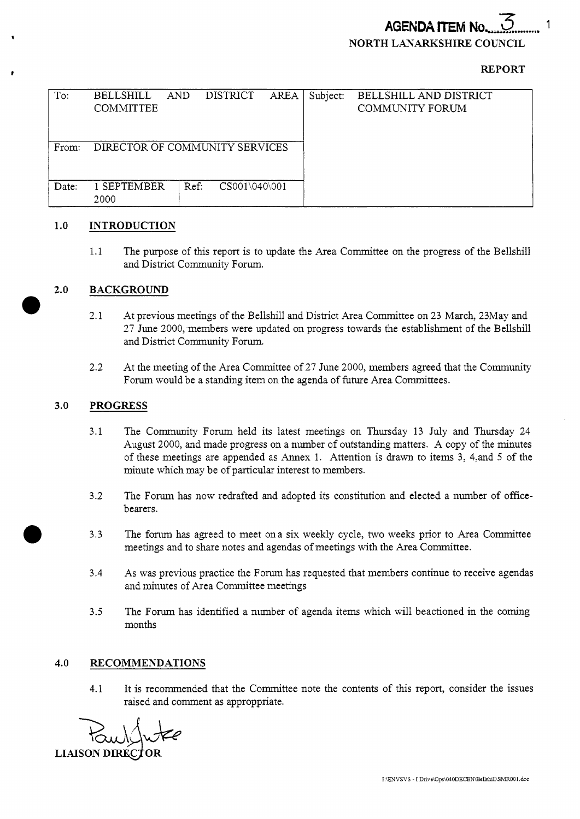# **AGENDA ITEM No NORTH LANARKSHIRE COUNCIL**

## **REPORT**

| To:   | <b>BELLSHILL</b><br><b>COMMITTEE</b> | <b>AND</b> | <b>DISTRICT</b> | <b>AREA</b> | Subject: | BELLSHILL AND DISTRICT<br><b>COMMUNITY FORUM</b> |
|-------|--------------------------------------|------------|-----------------|-------------|----------|--------------------------------------------------|
| From: | DIRECTOR OF COMMUNITY SERVICES       |            |                 |             |          |                                                  |
| Date: | 1 SEPTEMBER<br>2000                  | Ref.       | CS001\040\001   |             |          |                                                  |

### **1.0 INTRODUCTION**

1.1 The purpose of this report is to update the Area Committee on the progress of the Bellshill and District Community Forum.

### **2.0 BACKGROUND**

*0* 

*0* 

- 2.1 At previous meetings of the Bellshill and District Area Committee on 23 March, 23May and 27 June 2000, members were updated on progress towards the establishment of the Bellshill and District Community Forum.
- At the meeting of the Area Committee of 27 June 2000, members agreed that the Community Forum would be a standing item on the agenda of future Area Committees. 2.2

#### **3.0 PROGRESS**

- 3.1 The Community Forum held its latest meetings on Thursday 13 July and Thursday 24 August 2000, and made progress on a number of outstanding matters. A copy of the minutes of these meetings are appended as Annex 1. Attention is drawn to items 3, 4,and **5** of the minute which may be of particular interest to members.
- 3.2 The Forum has now redrafted and adopted its constitution and elected a number of officebearers.
- 3.3 The forum has agreed to meet ona six weekly cycle, two weeks prior to Area Committee meetings and to share notes and agendas of meetings with the Area Committee.
- 3.4 As was previous practice the Forum has requested that members continue to receive agendas and minutes of Area Committee meetings
- **3.5** The Forum has identified a number of agenda items which will beactioned in the coming months

### **4.0 RECOMMENDATIONS**

4.1 It is recommended that the Committee note the contents of this report, consider the issues raised and comment as approppnate.

**LIAISON DIREC**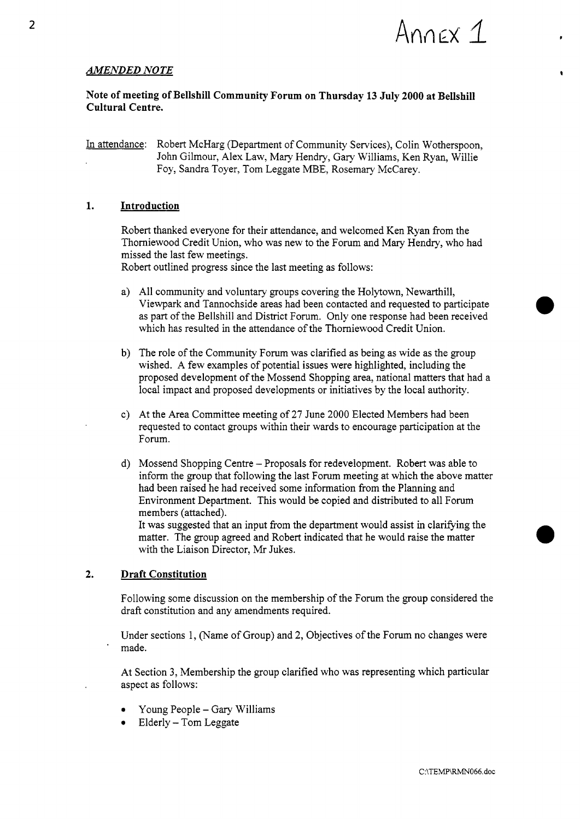

*0* 

*0* 

## *AMENDED NOTE*

## **Note of meeting of Bellshill Community Forum on Thursday 13 July 2000 at Bellshill Cultural Centre.**

In attendance: Robert McHarg (Department of Community Services), Colin Wotherspoon, John Gilmour, Alex Law, Mary Hendry, Gary Williams, Ken Ryan, Willie Foy, Sandra Toyer, Tom Leggate MBE, Rosemary McCarey.

## **1. Introduction**

Robert thanked everyone for their attendance, and welcomed Ken Ryan from the Thorniewood Credit Union, who was new to the Forum and Mary Hendry, who had missed the last few meetings.

Robert outlined progress since the last meeting as follows:

- All community and voluntary groups covering the Holytown, Newarthill, Viewpark and Tannochside areas had been contacted and requested to participate as part of the Bellshill and District Forum. Only one response had been received which has resulted in the attendance of the Thorniewood Credit Union.
- b) The role of the Community Forum was clarified as being as wide as the group wished. A few examples of potential issues were highlighted, including the proposed development of the Mossend Shopping area, national matters that had a local impact and proposed developments or initiatives by the local authority.
- At the Area Committee meeting of **27** June 2000 Elected Members had been requested to contact groups within their wards to encourage participation at the Forum.
- Mossend Shopping Centre Proposals for redevelopment. Robert was able to inform the group that following the last Forum meeting at which the above matter had been raised he had received some information from the Planning and Environment Department. This would be copied and distributed to all Forum members (attached).

It was suggested that an input from the department would assist in clarifying the matter. The group agreed and Robert indicated that he would raise the matter with the Liaison Director, **Mr** Jukes.

## **2. Draft Constitution**

Following some discussion on the membership of the Forum the group considered the draft constitution and any amendments required.

Under sections 1, (Name of Group) and **2,** Objectives of the Forum no changes were made.

At Section **3,** Membership the group clarified who was representing which particular aspect as follows:

- *0*  Young People - Gary Williams
- Elderly Tom Leggate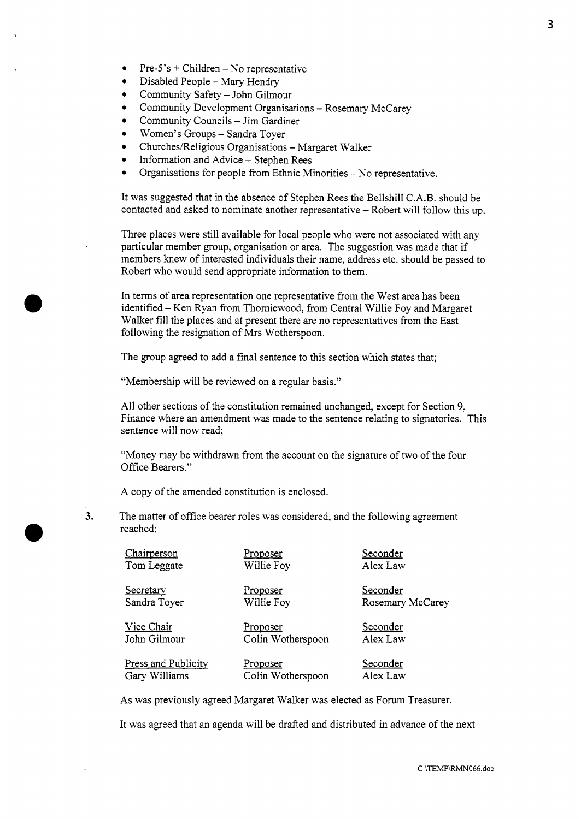- Pre- $5's$  + Children No representative
- $\bullet$ Disabled People - Mary Hendry
- $\bullet$ Community Safety - John Gilmour
- Community Development Organisations Rosemary McCarey
- Community Councils Jim Gardiner
- Women's Groups Sandra Toyer
- Churches/Religious Organisations Margaret Walker
- $\bullet$ Information and Advice - Stephen Rees
- Organisations for people from Ethnic Minorities No representative.

It was suggested that in the absence of Stephen Rees the Bellshill C.A.B. should be contacted and asked to nominate another representative - Robert will follow this up.

Three places were still available for local people who were not associated with any particular member group, organisation or area. The suggestion was made that if members knew of interested individuals their name, address etc. should be passed to Robert who would send appropriate information to them.

In terms of area representation one representative from the West area has been identified - Ken Ryan from Thorniewood, from Central Willie Foy and Margaret Walker fill the places and at present there are no representatives from the East following the resignation of Mrs Wotherspoon.

The group agreed to add a final sentence to this section which states that;

"Membership will be reviewed on a regular basis."

All other sections of the constitution remained unchanged, except for Section 9, Finance where an amendment was made to the sentence relating to signatories. This sentence will now read;

"Money may be withdrawn from the account on the signature of two of the four Office Bearers."

A copy of the amended constitution is enclosed.

**3.**  The matter of office bearer roles was considered, and the following agreement reached;

| Chairperson                | Proposer          | Seconder         |
|----------------------------|-------------------|------------------|
| Tom Leggate                | Willie Foy        | Alex Law         |
| Secretary                  | <u>Proposer</u>   | Seconder         |
| Sandra Toyer               | Willie Foy        | Rosemary McCarey |
| Vice Chair                 | Proposer          | Seconder         |
| John Gilmour               | Colin Wotherspoon | Alex Law         |
| <b>Press and Publicity</b> | <u>Proposer</u>   | Seconder         |
| Gary Williams              | Colin Wotherspoon | Alex Law         |

**As** was previously agreed Margaret Walker was elected as Forum Treasurer.

It was agreed that an agenda will be drafted and distributed in advance of the next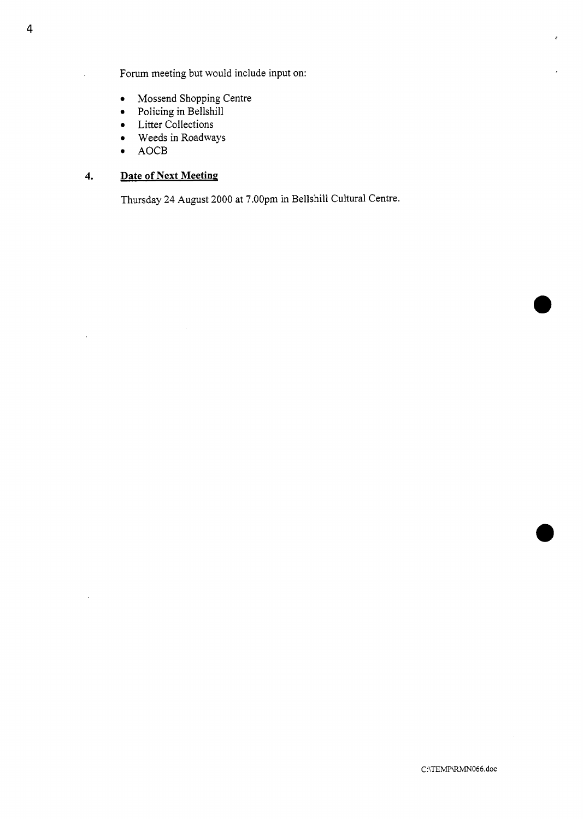Forum meeting but would include input on:

- *0* Mossend Shopping Centre
- *0* Policing in Bellshill
- *0* Litter Collections
- *0* Weeds in Roadways
- AOCB

## **4. Date of Next Meeting**

Thursday **24** August 2000 at 7.00pm in Bellshill Cultural Centre.

l,

ć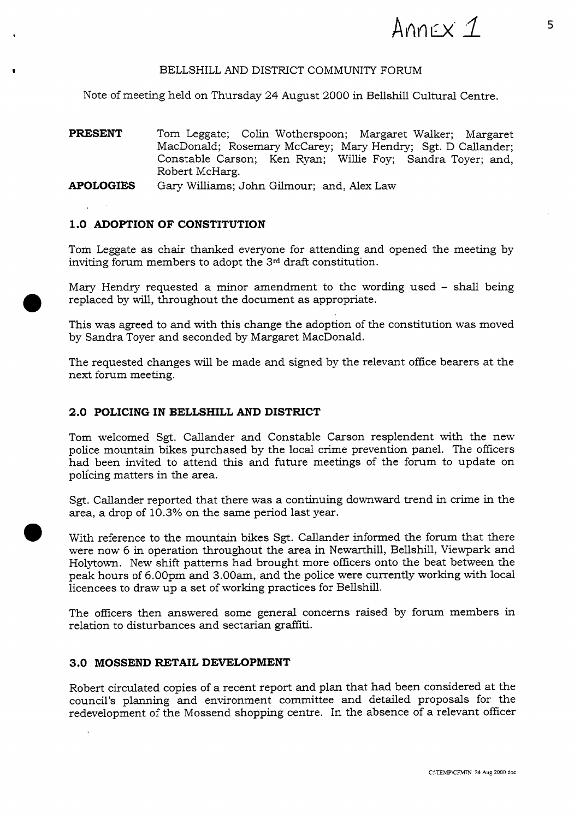

## BELLSHILL AND DISTRICT COMMUNITY FORUM

Note of meeting held on Thursday 24 August 2000 in Bellshill Cultural Centre.

**PRESENT** Tom Leggate; Colin Wotherspoon; Margaret Walker; Margaret MacDonald; Rosemary McCarey; Mary Hendry; *Sgt.* D Callander; Constable Carson; Ken Ryan; Willie Foy; Sandra Toyer; and, Robert McHarg.

**APOLOGIES** *Gary* Williams; John Gilmour; and, Alex Law

## **1.0 ADOPTION OF CONSTITUTION**

Tom Leggate as chair thanked everyone for attending and opened the meeting by inviting forum members to adopt the **3rd** draft constitution.

Mary Hendry requested a minor amendment to the wording used - shall being replaced by will, throughout the document as appropriate.

This was agreed to and with this change the adoption of the constitution was moved by Sandra Toyer and seconded by Margaret MacDonald.

The requested changes will be made and signed by the relevant office bearers at the next forum meeting.

## **2.0 POLICING IN BELLSHILL AND DISTRICT**

Tom welcomed *Sgt.* Callander and Constable Carson resplendent with the new police mountain bikes purchased by the local crime prevention panel. The officers had been invited to attend this and future meetings of the forum to update on policing matters in the area.

*Sgt.* Callander reported that there was a continuing downward trend in crime in the area, a drop of 10.3% on the same period last year.

With reference to the mountain bikes Sgt. Callander informed the forum that there were now 6 in operation throughout the area in Newarthill, Bellshill, Viewpark and Holytown. New shift patterns had brought more officers onto the beat between the peak hours of 6.00pm and **3.00am,** and the police were currently working with local licencees to draw up a set of working practices for Bellshill.

The officers then answered some general concerns raised by forum members in relation to disturbances and sectarian graffiti.

## **3.0 MOSSEND RETAIL DEVELOPMENT**

 $\bullet$ 

Robert circulated copies of a recent report and plan that had been considered at the council's planning and environment committee and detailed proposals for the redevelopment of the Mossend shopping centre. In the absence of a relevant officer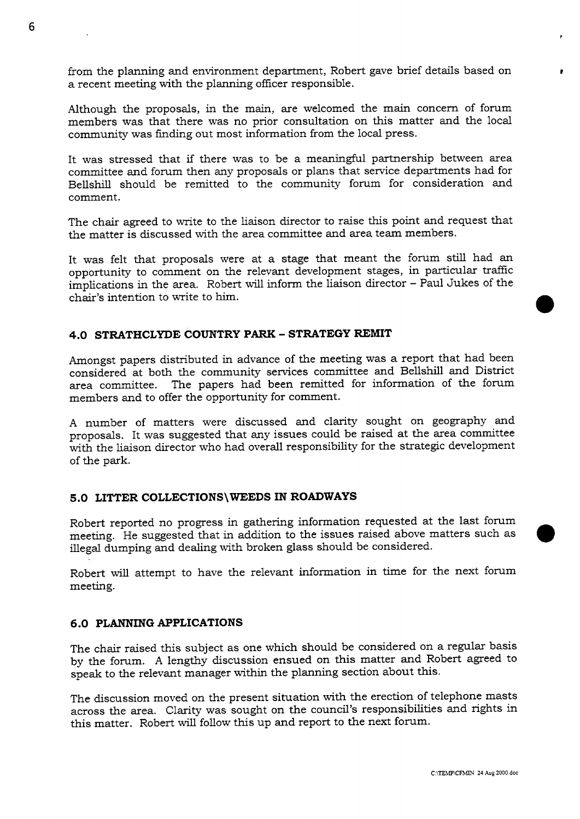from the planning and environment department, Robert gave brief details based on a recent meeting with the planning officer responsible.

Although the proposals, in the main, are welcomed the main concern of forum members was that there was no prior consultation on this matter and the local community was finding out most information from the local press.

It was stressed that if there was to be a meaningful partnership between area committee and forum then any proposals or plans that service departments had for Bellshill should be remitted to the community forum for consideration and comment.

The chair agreed to write to the liaison director to raise this point and request that the matter is discussed with the area committee and area team members.

It was felt that proposals were at a stage that meant the forum still had an opportunity to comment on the relevant development stages, in particular traffic implications in the area. Robert will inform the liaison director - Paul Jukes of the chair's intention to write to him.

## **4.0 STRATHCLYDE COUNTRY PARK** - **STRATEGY REMIT**

Amongst papers distributed in advance of the meeting was a report that had been considered at both the community services committee and Bellshill and District area committee. The papers had been remitted for information of the forum members and to offer the opportunity for comment.

**A** number of matters were discussed and clarity sought on geography and proposals. It was suggested that any issues could be raised at the area committee with the liaison director who had overall responsibility for the strategic development of the park.

## **5.0 LITTER COLLECTIONS\WEEDS IN ROADWAYS**

Robert reported no progress in gathering information requested at the last forum meeting. He suggested that in addition to the issues raised above matters such as illegal dumping and dealing with broken glass should be considered.

Robert will attempt to have the relevant information in time for the next forum meeting.

## **6 .O PLANNING APPLICATIONS**

The chair raised this subject as one which should be considered on a regular basis by the forum. **A** lengthy discussion ensued on this matter and Robert agreed to speak to the relevant manager within the planning section about this.

The discussion moved on the present situation with the erection of telephone masts across the area. Clarity was sought on the council's responsibilities and rights in this matter. Robert will follow this up and report to the next forum.